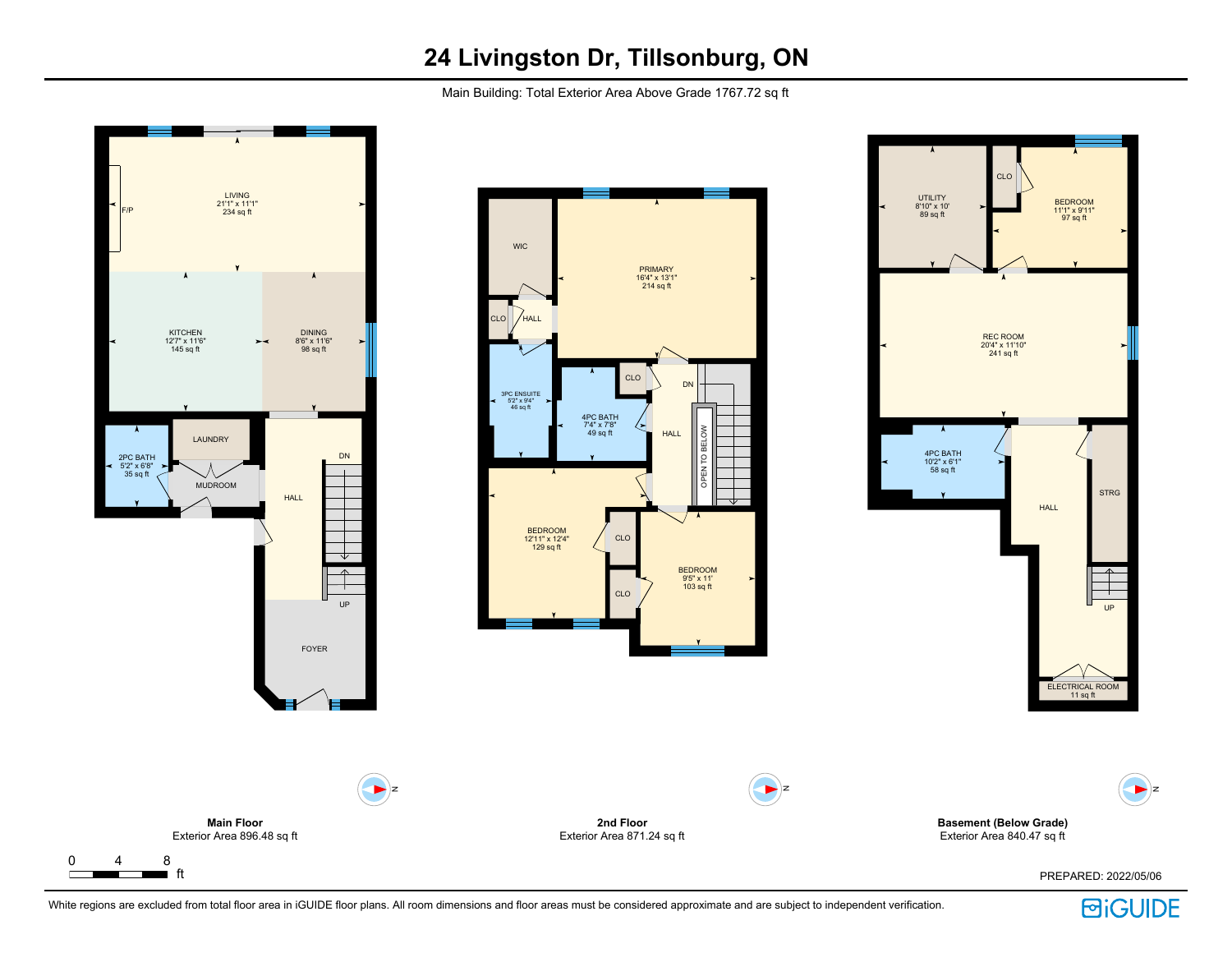Main Building: Total Exterior Area Above Grade 1767.72 sq ft



White regions are excluded from total floor area in iGUIDE floor plans. All room dimensions and floor areas must be considered approximate and are subject to independent verification.

**BiGUIDE**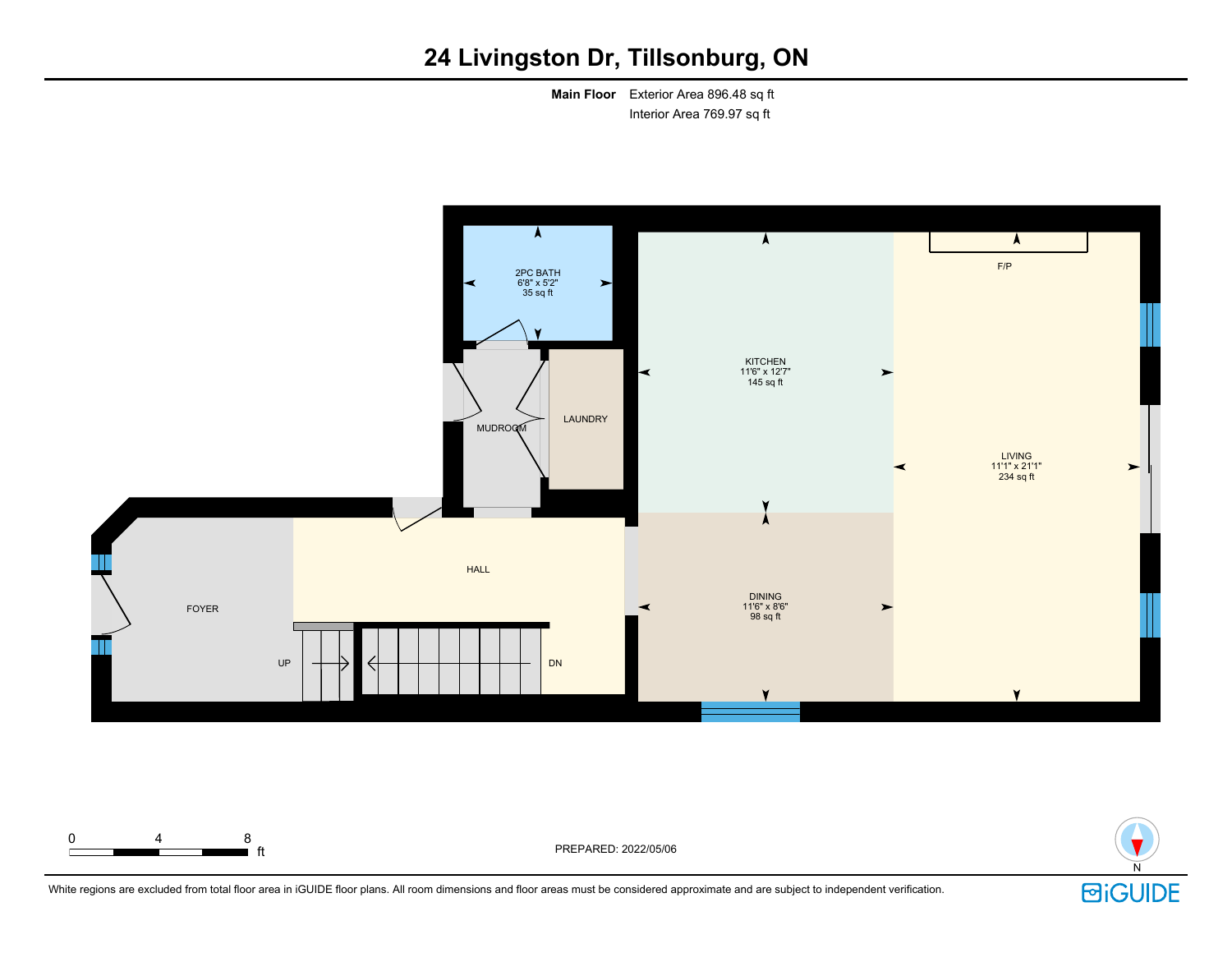**Main Floor** Exterior Area 896.48 sq ft Interior Area 769.97 sq ft





White regions are excluded from total floor area in iGUIDE floor plans. All room dimensions and floor areas must be considered approximate and are subject to independent verification.

**i** ft **FREPARED: 2022/05/06** 

0 4 8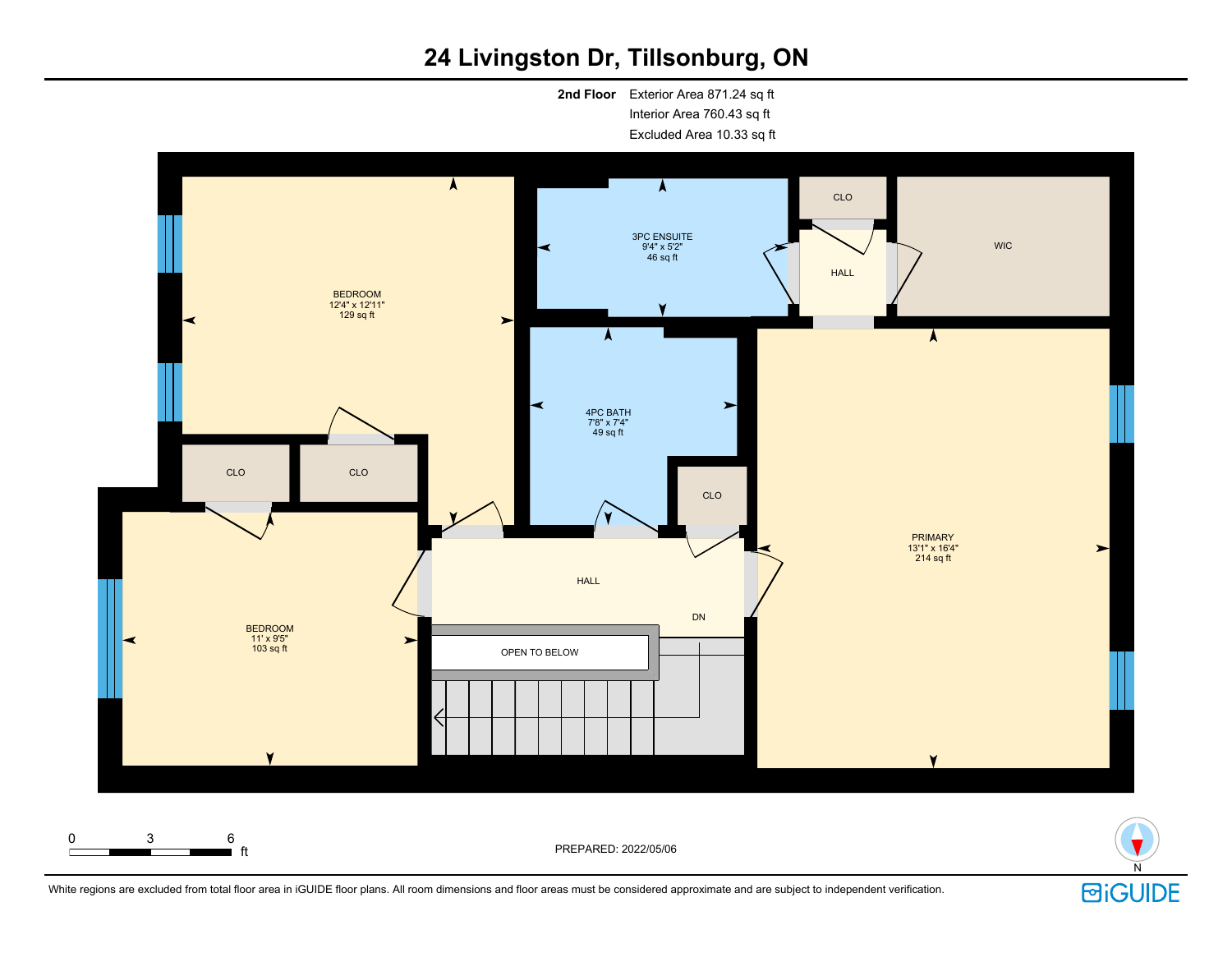**2nd Floor** Exterior Area 871.24 sq ft Interior Area 760.43 sq ft Excluded Area 10.33 sq ft





White regions are excluded from total floor area in iGUIDE floor plans. All room dimensions and floor areas must be considered approximate and are subject to independent verification.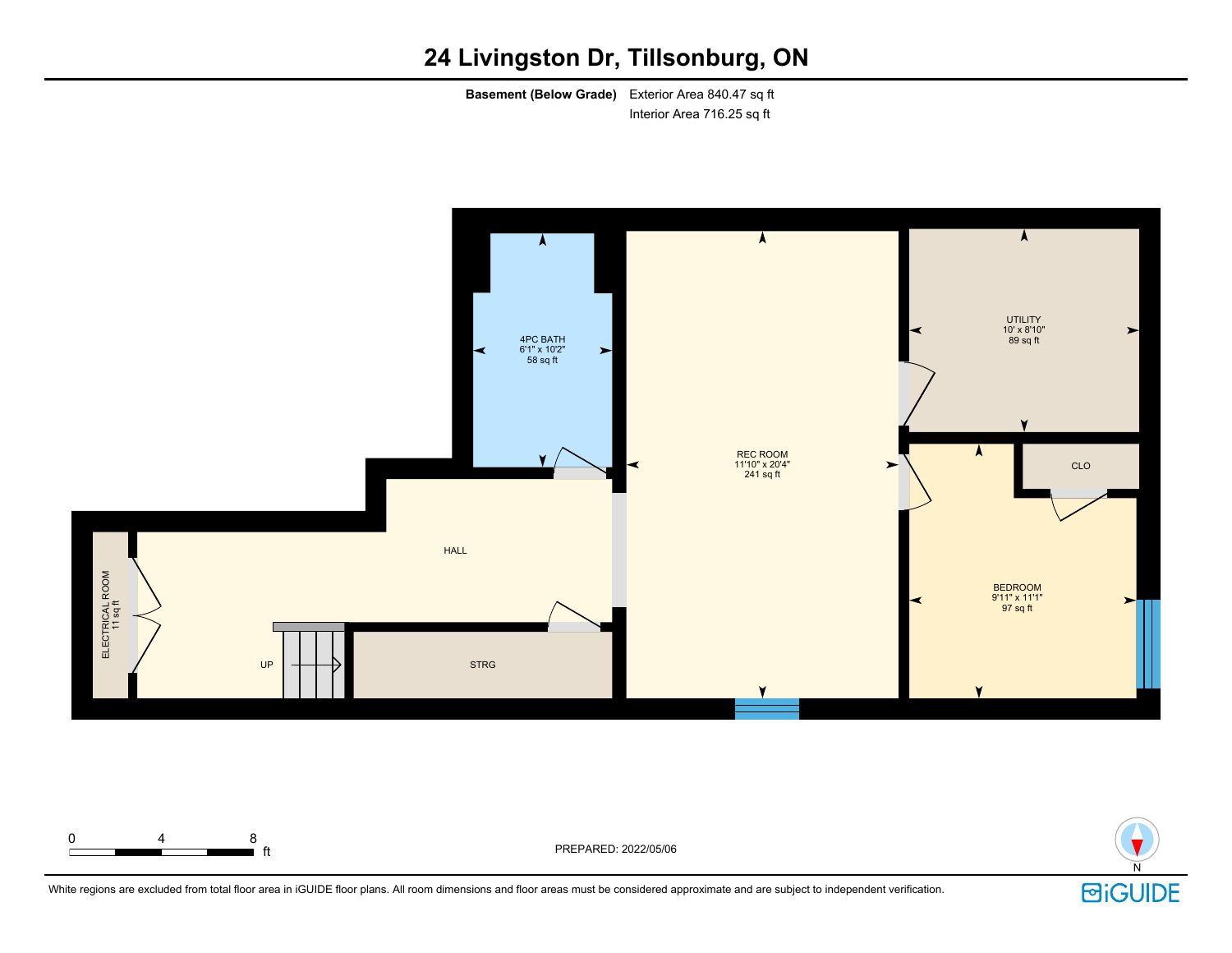**Basement (Below Grade)** Exterior Area 840.47 sq ft Interior Area 716.25 sq ft





White regions are excluded from total floor area in iGUIDE floor plans. All room dimensions and floor areas must be considered approximate and are subject to independent verification.

0 4 8

ft PREPARED: 2022/05/06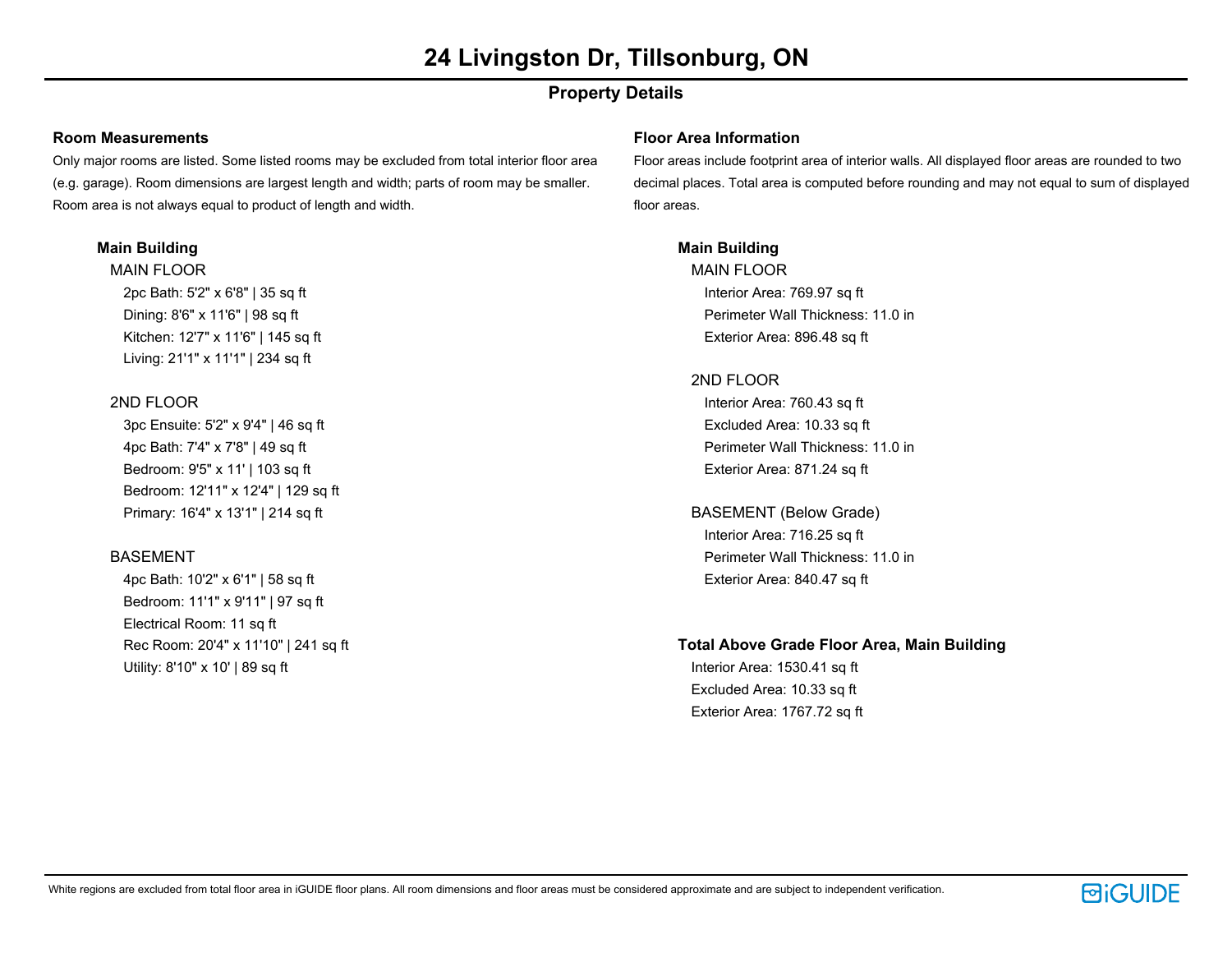# **Property Details**

#### **Room Measurements**

Only major rooms are listed. Some listed rooms may be excluded from total interior floor area (e.g. garage). Room dimensions are largest length and width; parts of room may be smaller. Room area is not always equal to product of length and width.

# **Main Building**

MAIN FLOOR 2pc Bath: 5'2" x 6'8" | 35 sq ft Dining: 8'6" x 11'6" | 98 sq ft Kitchen: 12'7" x 11'6" | 145 sq ft Living: 21'1" x 11'1" | 234 sq ft

# 2ND FLOOR

3pc Ensuite: 5'2" x 9'4" | 46 sq ft 4pc Bath: 7'4" x 7'8" | 49 sq ft Bedroom: 9'5" x 11' | 103 sq ft Bedroom: 12'11" x 12'4" | 129 sq ft Primary: 16'4" x 13'1" | 214 sq ft

# BASEMENT

4pc Bath: 10'2" x 6'1" | 58 sq ft Bedroom: 11'1" x 9'11" | 97 sq ft Electrical Room: 11 sq ft Rec Room: 20'4" x 11'10" | 241 sq ft Utility: 8'10" x 10' | 89 sq ft

#### **Floor Area Information**

Floor areas include footprint area of interior walls. All displayed floor areas are rounded to two decimal places. Total area is computed before rounding and may not equal to sum of displayed floor areas.

# **Main Building**

MAIN FLOOR Interior Area: 769.97 sq ft Perimeter Wall Thickness: 11.0 in Exterior Area: 896.48 sq ft

### 2ND FLOOR

Interior Area: 760.43 sq ft Excluded Area: 10.33 sq ft Perimeter Wall Thickness: 11.0 in Exterior Area: 871.24 sq ft

BASEMENT (Below Grade) Interior Area: 716.25 sq ft Perimeter Wall Thickness: 11.0 in Exterior Area: 840.47 sq ft

# **Total Above Grade Floor Area, Main Building**

Interior Area: 1530.41 sq ft Excluded Area: 10.33 sq ft Exterior Area: 1767.72 sq ft